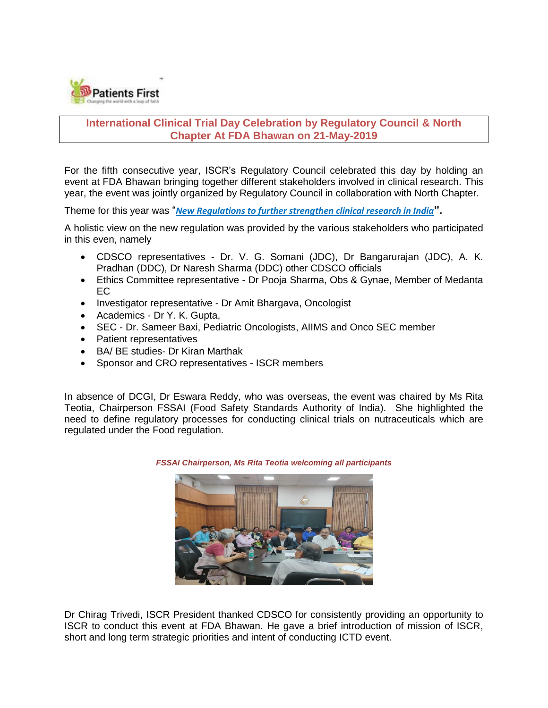

# **International Clinical Trial Day Celebration by Regulatory Council & North Chapter At FDA Bhawan on 21-May-2019**

For the fifth consecutive year, ISCR's Regulatory Council celebrated this day by holding an event at FDA Bhawan bringing together different stakeholders involved in clinical research. This year, the event was jointly organized by Regulatory Council in collaboration with North Chapter.

Theme for this year was "*New Regulations to further strengthen clinical research in India***".**

A holistic view on the new regulation was provided by the various stakeholders who participated in this even, namely

- CDSCO representatives Dr. V. G. Somani (JDC), Dr Bangarurajan (JDC), A. K. Pradhan (DDC), Dr Naresh Sharma (DDC) other CDSCO officials
- Ethics Committee representative Dr Pooja Sharma, Obs & Gynae, Member of Medanta EC
- Investigator representative Dr Amit Bhargava, Oncologist
- Academics Dr Y. K. Gupta,
- SEC Dr. Sameer Baxi, Pediatric Oncologists, AIIMS and Onco SEC member
- Patient representatives
- BA/ BE studies- Dr Kiran Marthak
- Sponsor and CRO representatives ISCR members

In absence of DCGI, Dr Eswara Reddy, who was overseas, the event was chaired by Ms Rita Teotia, Chairperson FSSAI (Food Safety Standards Authority of India). She highlighted the need to define regulatory processes for conducting clinical trials on nutraceuticals which are regulated under the Food regulation.



*FSSAI Chairperson, Ms Rita Teotia welcoming all participants*

Dr Chirag Trivedi, ISCR President thanked CDSCO for consistently providing an opportunity to ISCR to conduct this event at FDA Bhawan. He gave a brief introduction of mission of ISCR, short and long term strategic priorities and intent of conducting ICTD event.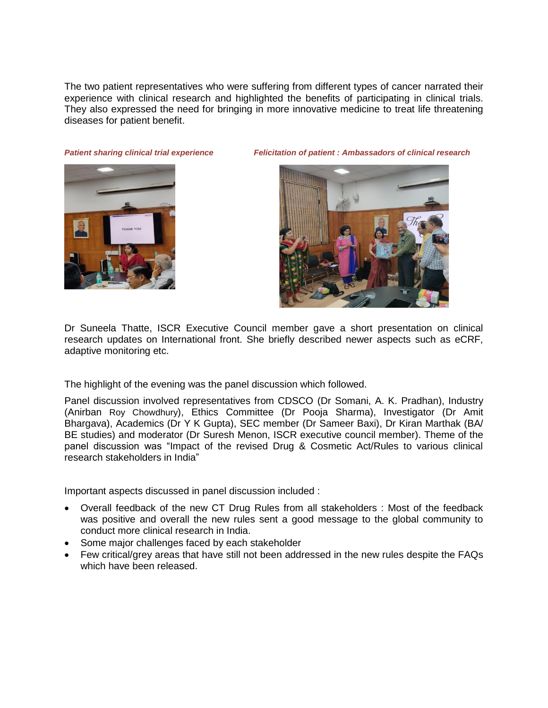The two patient representatives who were suffering from different types of cancer narrated their experience with clinical research and highlighted the benefits of participating in clinical trials. They also expressed the need for bringing in more innovative medicine to treat life threatening diseases for patient benefit.



*Patient sharing clinical trial experience Felicitation of patient : Ambassadors of clinical research*



Dr Suneela Thatte, ISCR Executive Council member gave a short presentation on clinical research updates on International front. She briefly described newer aspects such as eCRF, adaptive monitoring etc.

The highlight of the evening was the panel discussion which followed.

Panel discussion involved representatives from CDSCO (Dr Somani, A. K. Pradhan), Industry (Anirban Roy Chowdhury), Ethics Committee (Dr Pooja Sharma), Investigator (Dr Amit Bhargava), Academics (Dr Y K Gupta), SEC member (Dr Sameer Baxi), Dr Kiran Marthak (BA/ BE studies) and moderator (Dr Suresh Menon, ISCR executive council member). Theme of the panel discussion was "Impact of the revised Drug & Cosmetic Act/Rules to various clinical research stakeholders in India"

Important aspects discussed in panel discussion included :

- Overall feedback of the new CT Drug Rules from all stakeholders : Most of the feedback was positive and overall the new rules sent a good message to the global community to conduct more clinical research in India.
- Some major challenges faced by each stakeholder
- Few critical/grey areas that have still not been addressed in the new rules despite the FAQs which have been released.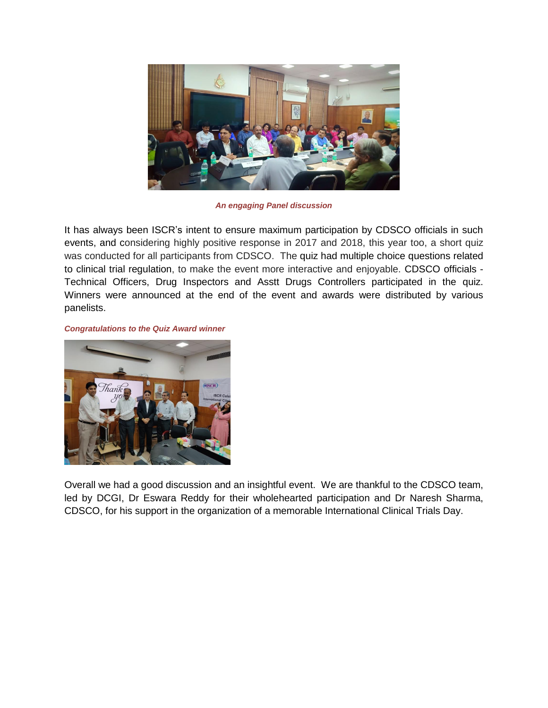

*An engaging Panel discussion*

It has always been ISCR's intent to ensure maximum participation by CDSCO officials in such events, and considering highly positive response in 2017 and 2018, this year too, a short quiz was conducted for all participants from CDSCO. The quiz had multiple choice questions related to clinical trial regulation, to make the event more interactive and enjoyable. CDSCO officials - Technical Officers, Drug Inspectors and Asstt Drugs Controllers participated in the quiz. Winners were announced at the end of the event and awards were distributed by various panelists.

*Congratulations to the Quiz Award winner*



Overall we had a good discussion and an insightful event. We are thankful to the CDSCO team, led by DCGI, Dr Eswara Reddy for their wholehearted participation and Dr Naresh Sharma, CDSCO, for his support in the organization of a memorable International Clinical Trials Day.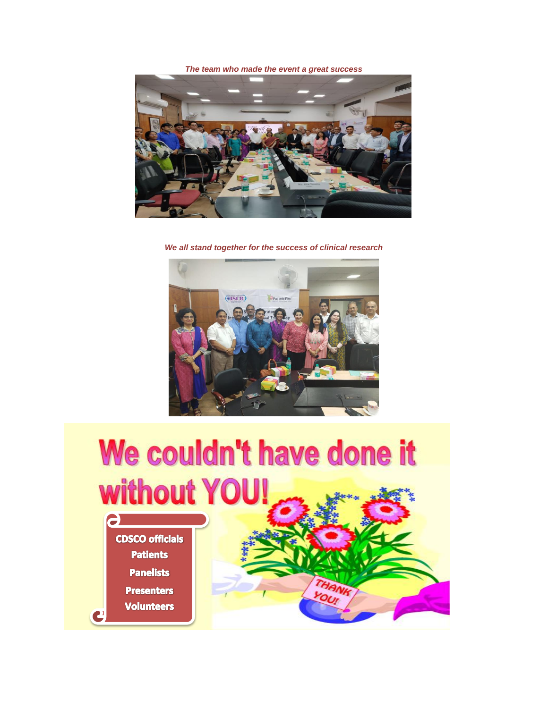*The team who made the event a great success*



*We all stand together for the success of clinical research*